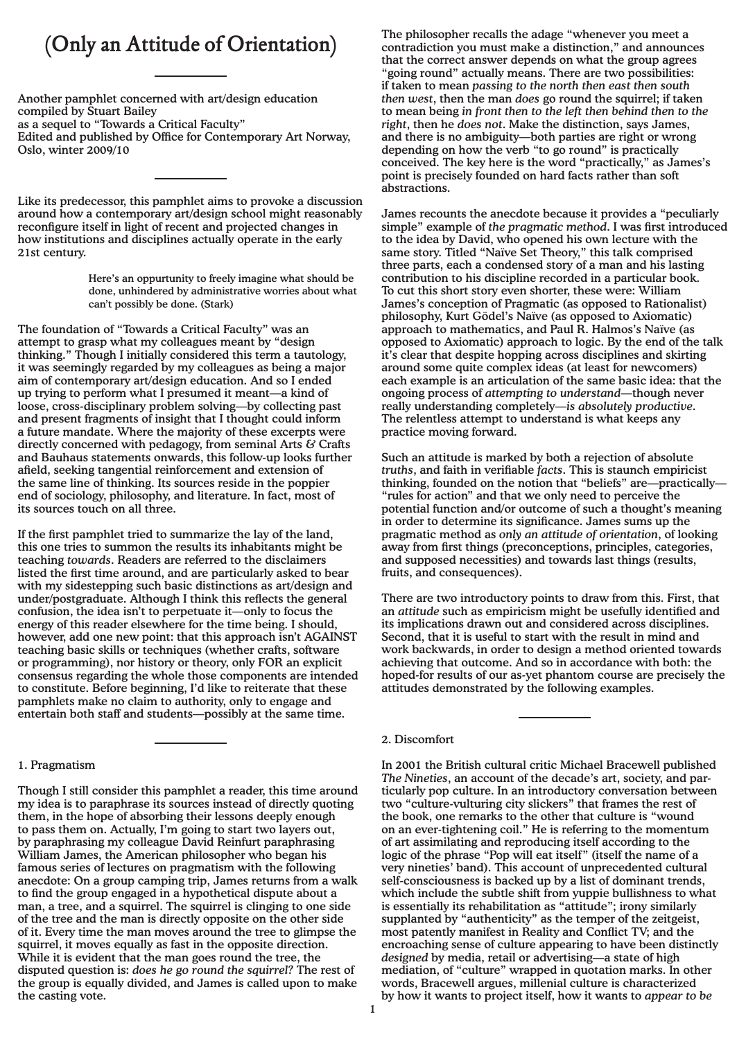# **(Only an Attitude of Orientation)**

Another pamphlet concerned with art/design education compiled by Stuart Bailey

as a sequel to "Towards a Critical Faculty"

Edited and published by Office for Contemporary Art Norway, Oslo, winter 2009/10

Like its predecessor, this pamphlet aims to provoke a discussion around how a contemporary art/design school might reasonably reconfigure itself in light of recent and projected changes in how institutions and disciplines actually operate in the early 21st century.

> Here's an oppurtunity to freely imagine what should be done, unhindered by administrative worries about what can't possibly be done. (Stark)

The foundation of "Towards a Critical Faculty" was an attempt to grasp what my colleagues meant by "design thinking." Though I initially considered this term a tautology, it was seemingly regarded by my colleagues as being a major aim of contemporary art/design education. And so I ended up trying to perform what I presumed it meant—a kind of loose, cross-disciplinary problem solving—by collecting past and present fragments of insight that I thought could inform a future mandate. Where the majority of these excerpts were directly concerned with pedagogy, from seminal Arts  $\&$  Crafts and Bauhaus statements onwards, this follow-up looks further afield, seeking tangential reinforcement and extension of the same line of thinking. Its sources reside in the poppier end of sociology, philosophy, and literature. In fact, most of its sources touch on all three.

If the first pamphlet tried to summarize the lay of the land, this one tries to summon the results its inhabitants might be teaching *towards*. Readers are referred to the disclaimers listed the first time around, and are particularly asked to bear with my sidestepping such basic distinctions as art/design and under/postgraduate. Although I think this reflects the general confusion, the idea isn't to perpetuate it—only to focus the energy of this reader elsewhere for the time being. I should, however, add one new point: that this approach isn't AGAINST teaching basic skills or techniques (whether crafts, software or programming), nor history or theory, only FOR an explicit consensus regarding the whole those components are intended to constitute. Before beginning, I'd like to reiterate that these pamphlets make no claim to authority, only to engage and entertain both staff and students—possibly at the same time.

# 1. Pragmatism

Though I still consider this pamphlet a reader, this time around my idea is to paraphrase its sources instead of directly quoting them, in the hope of absorbing their lessons deeply enough to pass them on. Actually, I'm going to start two layers out, by paraphrasing my colleague David Reinfurt paraphrasing William James, the American philosopher who began his famous series of lectures on pragmatism with the following anecdote: On a group camping trip, James returns from a walk to find the group engaged in a hypothetical dispute about a man, a tree, and a squirrel. The squirrel is clinging to one side of the tree and the man is directly opposite on the other side of it. Every time the man moves around the tree to glimpse the squirrel, it moves equally as fast in the opposite direction. While it is evident that the man goes round the tree, the disputed question is: *does he go round the squirrel?* The rest of the group is equally divided, and James is called upon to make the casting vote.

The philosopher recalls the adage "whenever you meet a contradiction you must make a distinction," and announces that the correct answer depends on what the group agrees "going round" actually means. There are two possibilities: if taken to mean *passing to the north then east then south then west*, then the man *does* go round the squirrel; if taken to mean being *in front then to the left then behind then to the right*, then he *does not*. Make the distinction, says James, and there is no ambiguity—both parties are right or wrong depending on how the verb "to go round" is practically conceived. The key here is the word "practically," as James's point is precisely founded on hard facts rather than soft abstractions.

James recounts the anecdote because it provides a "peculiarly simple" example of *the pragmatic method*. I was first introduced to the idea by David, who opened his own lecture with the same story. Titled "Naïve Set Theory," this talk comprised three parts, each a condensed story of a man and his lasting contribution to his discipline recorded in a particular book. To cut this short story even shorter, these were: William James's conception of Pragmatic (as opposed to Rationalist) philosophy, Kurt Gödel's Naïve (as opposed to Axiomatic) approach to mathematics, and Paul R. Halmos's Naïve (as opposed to Axiomatic) approach to logic. By the end of the talk it's clear that despite hopping across disciplines and skirting around some quite complex ideas (at least for newcomers) each example is an articulation of the same basic idea: that the ongoing process of *attempting to understand*—though never really understanding completely—*is absolutely productive*. The relentless attempt to understand is what keeps any practice moving forward.

Such an attitude is marked by both a rejection of absolute *truths*, and faith in verifiable *facts*. This is staunch empiricist thinking, founded on the notion that "beliefs" are—practically— "rules for action" and that we only need to perceive the potential function and/or outcome of such a thought's meaning in order to determine its significance. James sums up the pragmatic method as *only an attitude of orientation*, of looking away from first things (preconceptions, principles, categories, and supposed necessities) and towards last things (results, fruits, and consequences).

There are two introductory points to draw from this. First, that an *attitude* such as empiricism might be usefully identified and its implications drawn out and considered across disciplines. Second, that it is useful to start with the result in mind and work backwards, in order to design a method oriented towards achieving that outcome. And so in accordance with both: the hoped-for results of our as-yet phantom course are precisely the attitudes demonstrated by the following examples.

## 2. Discomfort

In 2001 the British cultural critic Michael Bracewell published *The Nineties*, an account of the decade's art, society, and particularly pop culture. In an introductory conversation between two "culture-vulturing city slickers" that frames the rest of the book, one remarks to the other that culture is "wound on an ever-tightening coil." He is referring to the momentum of art assimilating and reproducing itself according to the logic of the phrase "Pop will eat itself" (itself the name of a very nineties' band). This account of unprecedented cultural self-consciousness is backed up by a list of dominant trends, which include the subtle shift from yuppie bullishness to what is essentially its rehabilitation as "attitude"; irony similarly supplanted by "authenticity" as the temper of the zeitgeist, most patently manifest in Reality and Conflict TV; and the encroaching sense of culture appearing to have been distinctly *designed* by media, retail or advertising—a state of high mediation, of "culture" wrapped in quotation marks. In other words, Bracewell argues, millenial culture is characterized by how it wants to project itself, how it wants to *appear to be*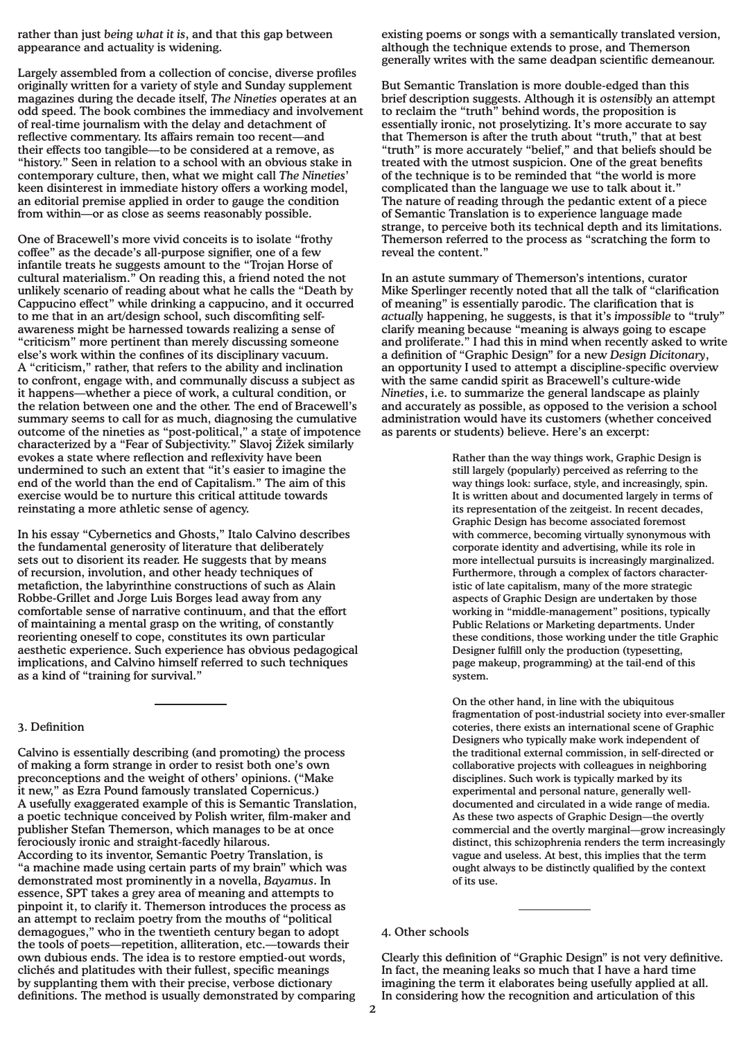rather than just *being what it is*, and that this gap between appearance and actuality is widening.

Largely assembled from a collection of concise, diverse profiles originally written for a variety of style and Sunday supplement magazines during the decade itself, *The Nineties* operates at an odd speed. The book combines the immediacy and involvement of real-time journalism with the delay and detachment of reflective commentary. Its affairs remain too recent—and their effects too tangible—to be considered at a remove, as "history." Seen in relation to a school with an obvious stake in contemporary culture, then, what we might call *The Nineties*' keen disinterest in immediate history offers a working model, an editorial premise applied in order to gauge the condition from within—or as close as seems reasonably possible.

One of Bracewell's more vivid conceits is to isolate "frothy coffee" as the decade's all-purpose signifier, one of a few infantile treats he suggests amount to the "Trojan Horse of cultural materialism." On reading this, a friend noted the not unlikely scenario of reading about what he calls the "Death by Cappucino effect" while drinking a cappucino, and it occurred to me that in an art/design school, such discomfiting selfawareness might be harnessed towards realizing a sense of "criticism" more pertinent than merely discussing someone else's work within the confines of its disciplinary vacuum. A "criticism," rather, that refers to the ability and inclination to confront, engage with, and communally discuss a subject as it happens—whether a piece of work, a cultural condition, or the relation between one and the other. The end of Bracewell's summary seems to call for as much, diagnosing the cumulative outcome of the nineties as "post-political," a state of impotence characterized by a "Fear of Subjectivity." Slavoj Žižek similarly evokes a state where reflection and reflexivity have been undermined to such an extent that "it's easier to imagine the end of the world than the end of Capitalism." The aim of this exercise would be to nurture this critical attitude towards reinstating a more athletic sense of agency.

In his essay "Cybernetics and Ghosts," Italo Calvino describes the fundamental generosity of literature that deliberately sets out to disorient its reader. He suggests that by means of recursion, involution, and other heady techniques of metafiction, the labyrinthine constructions of such as Alain Robbe-Grillet and Jorge Luis Borges lead away from any comfortable sense of narrative continuum, and that the effort of maintaining a mental grasp on the writing, of constantly reorienting oneself to cope, constitutes its own particular aesthetic experience. Such experience has obvious pedagogical implications, and Calvino himself referred to such techniques as a kind of "training for survival."

#### 3. Definition

Calvino is essentially describing (and promoting) the process of making a form strange in order to resist both one's own preconceptions and the weight of others' opinions. ("Make it new," as Ezra Pound famously translated Copernicus.) A usefully exaggerated example of this is Semantic Translation, a poetic technique conceived by Polish writer, film-maker and publisher Stefan Themerson, which manages to be at once ferociously ironic and straight-facedly hilarous. According to its inventor, Semantic Poetry Translation, is "a machine made using certain parts of my brain" which was demonstrated most prominently in a novella, *Bayamus*. In essence, SPT takes a grey area of meaning and attempts to pinpoint it, to clarify it. Themerson introduces the process as an attempt to reclaim poetry from the mouths of "political demagogues," who in the twentieth century began to adopt the tools of poets—repetition, alliteration, etc.—towards their own dubious ends. The idea is to restore emptied-out words, clichés and platitudes with their fullest, specific meanings by supplanting them with their precise, verbose dictionary definitions. The method is usually demonstrated by comparing

existing poems or songs with a semantically translated version, although the technique extends to prose, and Themerson generally writes with the same deadpan scientific demeanour.

But Semantic Translation is more double-edged than this brief description suggests. Although it is *ostensibly* an attempt to reclaim the "truth" behind words, the proposition is essentially ironic, not proselytizing. It's more accurate to say that Themerson is after the truth about "truth," that at best "truth" is more accurately "belief," and that beliefs should be treated with the utmost suspicion. One of the great benefits of the technique is to be reminded that "the world is more complicated than the language we use to talk about it." The nature of reading through the pedantic extent of a piece of Semantic Translation is to experience language made strange, to perceive both its technical depth and its limitations. Themerson referred to the process as "scratching the form to reveal the content."

In an astute summary of Themerson's intentions, curator Mike Sperlinger recently noted that all the talk of "clarification of meaning" is essentially parodic. The clarification that is *actually* happening, he suggests, is that it's *impossible* to "truly" clarify meaning because "meaning is always going to escape and proliferate." I had this in mind when recently asked to write a definition of "Graphic Design" for a new *Design Dicitonary*, an opportunity I used to attempt a discipline-specific overview with the same candid spirit as Bracewell's culture-wide *Nineties*, i.e. to summarize the general landscape as plainly and accurately as possible, as opposed to the verision a school administration would have its customers (whether conceived as parents or students) believe. Here's an excerpt:

> Rather than the way things work, Graphic Design is still largely (popularly) perceived as referring to the way things look: surface, style, and increasingly, spin. It is written about and documented largely in terms of its representation of the zeitgeist. In recent decades, Graphic Design has become associated foremost with commerce, becoming virtually synonymous with corporate identity and advertising, while its role in more intellectual pursuits is increasingly marginalized. Furthermore, through a complex of factors characteristic of late capitalism, many of the more strategic aspects of Graphic Design are undertaken by those working in "middle-management" positions, typically Public Relations or Marketing departments. Under these conditions, those working under the title Graphic Designer fulfill only the production (typesetting, page makeup, programming) at the tail-end of this system.

On the other hand, in line with the ubiquitous fragmentation of post-industrial society into ever-smaller coteries, there exists an international scene of Graphic Designers who typically make work independent of the traditional external commission, in self-directed or collaborative projects with colleagues in neighboring disciplines. Such work is typically marked by its experimental and personal nature, generally welldocumented and circulated in a wide range of media. As these two aspects of Graphic Design—the overtly commercial and the overtly marginal—grow increasingly distinct, this schizophrenia renders the term increasingly vague and useless. At best, this implies that the term ought always to be distinctly qualified by the context of its use.

Clearly this definition of "Graphic Design" is not very definitive. In fact, the meaning leaks so much that I have a hard time imagining the term it elaborates being usefully applied at all. In considering how the recognition and articulation of this

<sup>4.</sup> Other schools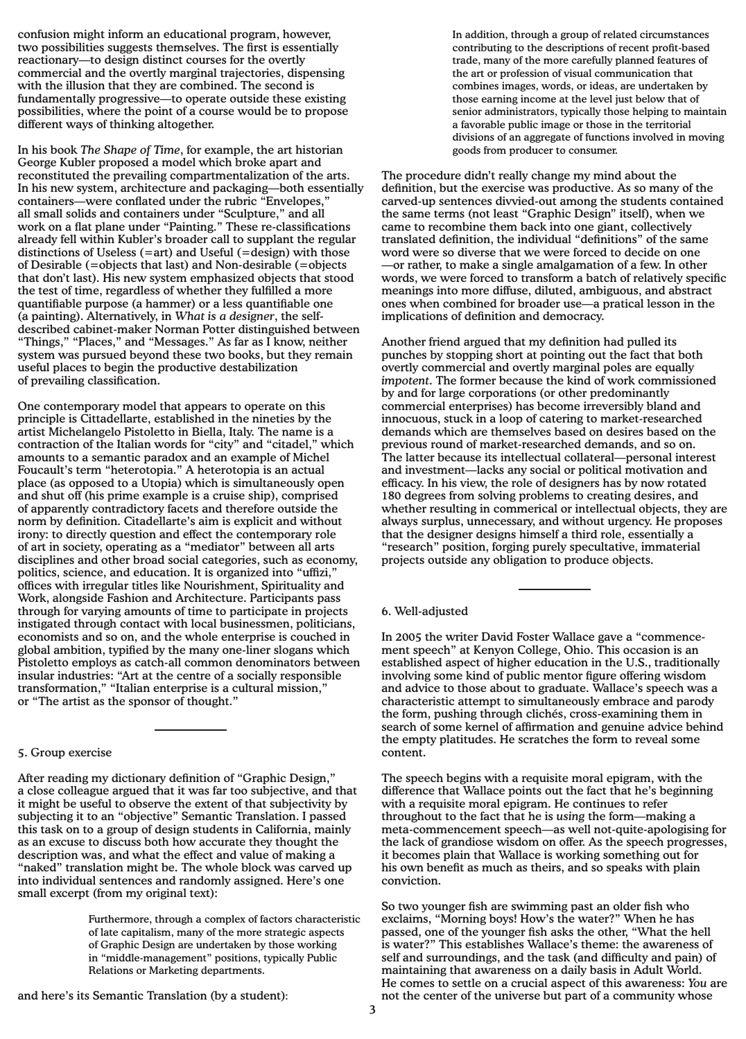confusion might inform an educational program, however, two possibilities suggests themselves. The first is essentially reactionary—to design distinct courses for the overtly commercial and the overtly marginal trajectories, dispensing with the illusion that they are combined. The second is fundamentally progressive—to operate outside these existing possibilities, where the point of a course would be to propose different ways of thinking altogether.

In his book *The Shape of Time*, for example, the art historian George Kubler proposed a model which broke apart and reconstituted the prevailing compartmentalization of the arts. In his new system, architecture and packaging—both essentially containers—were conflated under the rubric "Envelopes," all small solids and containers under "Sculpture," and all work on a flat plane under "Painting." These re-classifications already fell within Kubler's broader call to supplant the regular distinctions of Useless (=art) and Useful (=design) with those of Desirable (=objects that last) and Non-desirable (=objects that don't last). His new system emphasized objects that stood the test of time, regardless of whether they fulfilled a more quantifiable purpose (a hammer) or a less quantifiable one (a painting). Alternatively, in *What is a designer*, the selfdescribed cabinet-maker Norman Potter distinguished between "Things," "Places," and "Messages." As far as I know, neither system was pursued beyond these two books, but they remain useful places to begin the productive destabilization of prevailing classification.

One contemporary model that appears to operate on this principle is Cittadellarte, established in the nineties by the artist Michelangelo Pistoletto in Biella, Italy. The name is a contraction of the Italian words for "city" and "citadel," which amounts to a semantic paradox and an example of Michel Foucault's term "heterotopia." A heterotopia is an actual place (as opposed to a Utopia) which is simultaneously open and shut off (his prime example is a cruise ship), comprised of apparently contradictory facets and therefore outside the norm by definition. Citadellarte's aim is explicit and without irony: to directly question and effect the contemporary role of art in society, operating as a "mediator" between all arts disciplines and other broad social categories, such as economy, politics, science, and education. It is organized into "uffizi," offices with irregular titles like Nourishment, Spirituality and Work, alongside Fashion and Architecture. Participants pass through for varying amounts of time to participate in projects instigated through contact with local businessmen, politicians, economists and so on, and the whole enterprise is couched in global ambition, typified by the many one-liner slogans which Pistoletto employs as catch-all common denominators between insular industries: "Art at the centre of a socially responsible transformation," "Italian enterprise is a cultural mission," or "The artist as the sponsor of thought."

### 5. Group exercise

After reading my dictionary definition of "Graphic Design," a close colleague argued that it was far too subjective, and that it might be useful to observe the extent of that subjectivity by subjecting it to an "objective" Semantic Translation. I passed this task on to a group of design students in California, mainly as an excuse to discuss both how accurate they thought the description was, and what the effect and value of making a "naked" translation might be. The whole block was carved up into individual sentences and randomly assigned. Here's one small excerpt (from my original text):

> Furthermore, through a complex of factors characteristic of late capitalism, many of the more strategic aspects of Graphic Design are undertaken by those working in "middle-management" positions, typically Public Relations or Marketing departments.

In addition, through a group of related circumstances contributing to the descriptions of recent profit-based trade, many of the more carefully planned features of the art or profession of visual communication that combines images, words, or ideas, are undertaken by those earning income at the level just below that of senior administrators, typically those helping to maintain a favorable public image or those in the territorial divisions of an aggregate of functions involved in moving goods from producer to consumer.

The procedure didn't really change my mind about the definition, but the exercise was productive. As so many of the carved-up sentences divvied-out among the students contained the same terms (not least "Graphic Design" itself), when we came to recombine them back into one giant, collectively translated definition, the individual "definitions" of the same word were so diverse that we were forced to decide on one —or rather, to make a single amalgamation of a few. In other words, we were forced to transform a batch of relatively specific meanings into more diffuse, diluted, ambiguous, and abstract ones when combined for broader use—a pratical lesson in the implications of definition and democracy.

Another friend argued that my definition had pulled its punches by stopping short at pointing out the fact that both overtly commercial and overtly marginal poles are equally *impotent*. The former because the kind of work commissioned by and for large corporations (or other predominantly commercial enterprises) has become irreversibly bland and innocuous, stuck in a loop of catering to market-researched demands which are themselves based on desires based on the previous round of market-researched demands, and so on. The latter because its intellectual collateral—personal interest and investment—lacks any social or political motivation and efficacy. In his view, the role of designers has by now rotated 180 degrees from solving problems to creating desires, and whether resulting in commerical or intellectual objects, they are always surplus, unnecessary, and without urgency. He proposes that the designer designs himself a third role, essentially a "research" position, forging purely specultative, immaterial projects outside any obligation to produce objects.

# 6. Well-adjusted

In 2005 the writer David Foster Wallace gave a "commencement speech" at Kenyon College, Ohio. This occasion is an established aspect of higher education in the U.S., traditionally involving some kind of public mentor figure offering wisdom and advice to those about to graduate. Wallace's speech was a characteristic attempt to simultaneously embrace and parody the form, pushing through clichés, cross-examining them in search of some kernel of affirmation and genuine advice behind the empty platitudes. He scratches the form to reveal some content.

The speech begins with a requisite moral epigram, with the difference that Wallace points out the fact that he's beginning with a requisite moral epigram. He continues to refer throughout to the fact that he is *using* the form—making a meta-commencement speech—as well not-quite-apologising for the lack of grandiose wisdom on offer. As the speech progresses, it becomes plain that Wallace is working something out for his own benefit as much as theirs, and so speaks with plain conviction.

So two younger fish are swimming past an older fish who exclaims, "Morning boys! How's the water?" When he has passed, one of the younger fish asks the other, "What the hell is water?" This establishes Wallace's theme: the awareness of self and surroundings, and the task (and difficulty and pain) of maintaining that awareness on a daily basis in Adult World. He comes to settle on a crucial aspect of this awareness: *You* are not the center of the universe but part of a community whose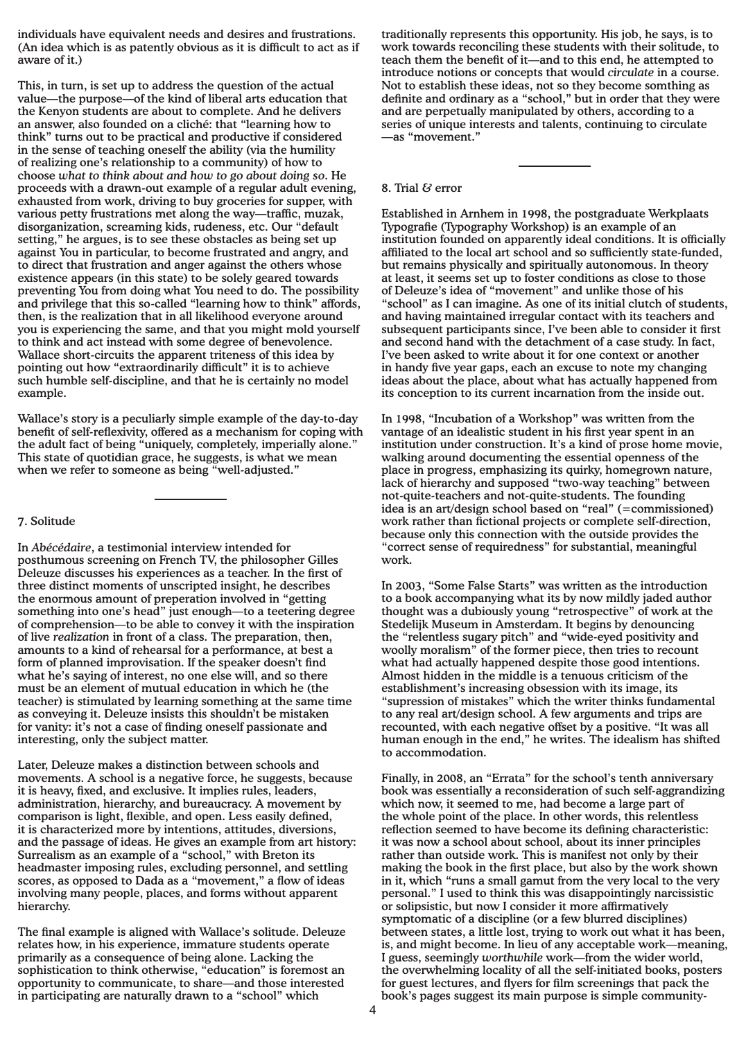individuals have equivalent needs and desires and frustrations. (An idea which is as patently obvious as it is difficult to act as if aware of it.)

This, in turn, is set up to address the question of the actual value—the purpose—of the kind of liberal arts education that the Kenyon students are about to complete. And he delivers an answer, also founded on a cliché: that "learning how to think" turns out to be practical and productive if considered in the sense of teaching oneself the ability (via the humility of realizing one's relationship to a community) of how to choose *what to think about and how to go about doing so*. He proceeds with a drawn-out example of a regular adult evening, exhausted from work, driving to buy groceries for supper, with various petty frustrations met along the way—traffic, muzak, disorganization, screaming kids, rudeness, etc. Our "default setting," he argues, is to see these obstacles as being set up against You in particular, to become frustrated and angry, and to direct that frustration and anger against the others whose existence appears (in this state) to be solely geared towards preventing You from doing what You need to do. The possibility and privilege that this so-called "learning how to think" affords, then, is the realization that in all likelihood everyone around you is experiencing the same, and that you might mold yourself to think and act instead with some degree of benevolence. Wallace short-circuits the apparent triteness of this idea by pointing out how "extraordinarily difficult" it is to achieve such humble self-discipline, and that he is certainly no model example.

Wallace's story is a peculiarly simple example of the day-to-day benefit of self-reflexivity, offered as a mechanism for coping with the adult fact of being "uniquely, completely, imperially alone." This state of quotidian grace, he suggests, is what we mean when we refer to someone as being "well-adjusted."

#### 7. Solitude

In *Abécédaire*, a testimonial interview intended for posthumous screening on French TV, the philosopher Gilles Deleuze discusses his experiences as a teacher. In the first of three distinct moments of unscripted insight, he describes the enormous amount of preperation involved in "getting something into one's head" just enough—to a teetering degree of comprehension—to be able to convey it with the inspiration of live *realization* in front of a class. The preparation, then, amounts to a kind of rehearsal for a performance, at best a form of planned improvisation. If the speaker doesn't find what he's saying of interest, no one else will, and so there must be an element of mutual education in which he (the teacher) is stimulated by learning something at the same time as conveying it. Deleuze insists this shouldn't be mistaken for vanity: it's not a case of finding oneself passionate and interesting, only the subject matter.

Later, Deleuze makes a distinction between schools and movements. A school is a negative force, he suggests, because it is heavy, fixed, and exclusive. It implies rules, leaders, administration, hierarchy, and bureaucracy. A movement by comparison is light, flexible, and open. Less easily defined, it is characterized more by intentions, attitudes, diversions, and the passage of ideas. He gives an example from art history: Surrealism as an example of a "school," with Breton its headmaster imposing rules, excluding personnel, and settling scores, as opposed to Dada as a "movement," a flow of ideas involving many people, places, and forms without apparent hierarchy.

The final example is aligned with Wallace's solitude. Deleuze relates how, in his experience, immature students operate primarily as a consequence of being alone. Lacking the sophistication to think otherwise, "education" is foremost an opportunity to communicate, to share—and those interested in participating are naturally drawn to a "school" which

traditionally represents this opportunity. His job, he says, is to work towards reconciling these students with their solitude, to teach them the benefit of it—and to this end, he attempted to introduce notions or concepts that would *circulate* in a course. Not to establish these ideas, not so they become somthing as definite and ordinary as a "school," but in order that they were and are perpetually manipulated by others, according to a series of unique interests and talents, continuing to circulate —as "movement."

#### 8. Trial & error

Established in Arnhem in 1998, the postgraduate Werkplaats Typografie (Typography Workshop) is an example of an institution founded on apparently ideal conditions. It is officially affiliated to the local art school and so sufficiently state-funded, but remains physically and spiritually autonomous. In theory at least, it seems set up to foster conditions as close to those of Deleuze's idea of "movement" and unlike those of his "school" as I can imagine. As one of its initial clutch of students, and having maintained irregular contact with its teachers and subsequent participants since, I've been able to consider it first and second hand with the detachment of a case study. In fact, I've been asked to write about it for one context or another in handy five year gaps, each an excuse to note my changing ideas about the place, about what has actually happened from its conception to its current incarnation from the inside out.

In 1998, "Incubation of a Workshop" was written from the vantage of an idealistic student in his first year spent in an institution under construction. It's a kind of prose home movie, walking around documenting the essential openness of the place in progress, emphasizing its quirky, homegrown nature, lack of hierarchy and supposed "two-way teaching" between not-quite-teachers and not-quite-students. The founding idea is an art/design school based on "real" (=commissioned) work rather than fictional projects or complete self-direction, because only this connection with the outside provides the "correct sense of requiredness" for substantial, meaningful work.

In 2003, "Some False Starts" was written as the introduction to a book accompanying what its by now mildly jaded author thought was a dubiously young "retrospective" of work at the Stedelijk Museum in Amsterdam. It begins by denouncing the "relentless sugary pitch" and "wide-eyed positivity and woolly moralism" of the former piece, then tries to recount what had actually happened despite those good intentions. Almost hidden in the middle is a tenuous criticism of the establishment's increasing obsession with its image, its "supression of mistakes" which the writer thinks fundamental to any real art/design school. A few arguments and trips are recounted, with each negative offset by a positive. "It was all human enough in the end," he writes. The idealism has shifted to accommodation.

Finally, in 2008, an "Errata" for the school's tenth anniversary book was essentially a reconsideration of such self-aggrandizing which now, it seemed to me, had become a large part of the whole point of the place. In other words, this relentless reflection seemed to have become its defining characteristic: it was now a school about school, about its inner principles rather than outside work. This is manifest not only by their making the book in the first place, but also by the work shown in it, which "runs a small gamut from the very local to the very personal." I used to think this was disappointingly narcissistic or solipsistic, but now I consider it more affirmatively symptomatic of a discipline (or a few blurred disciplines) between states, a little lost, trying to work out what it has been, is, and might become. In lieu of any acceptable work—meaning, I guess, seemingly *worthwhile* work—from the wider world, the overwhelming locality of all the self-initiated books, posters for guest lectures, and flyers for film screenings that pack the book's pages suggest its main purpose is simple community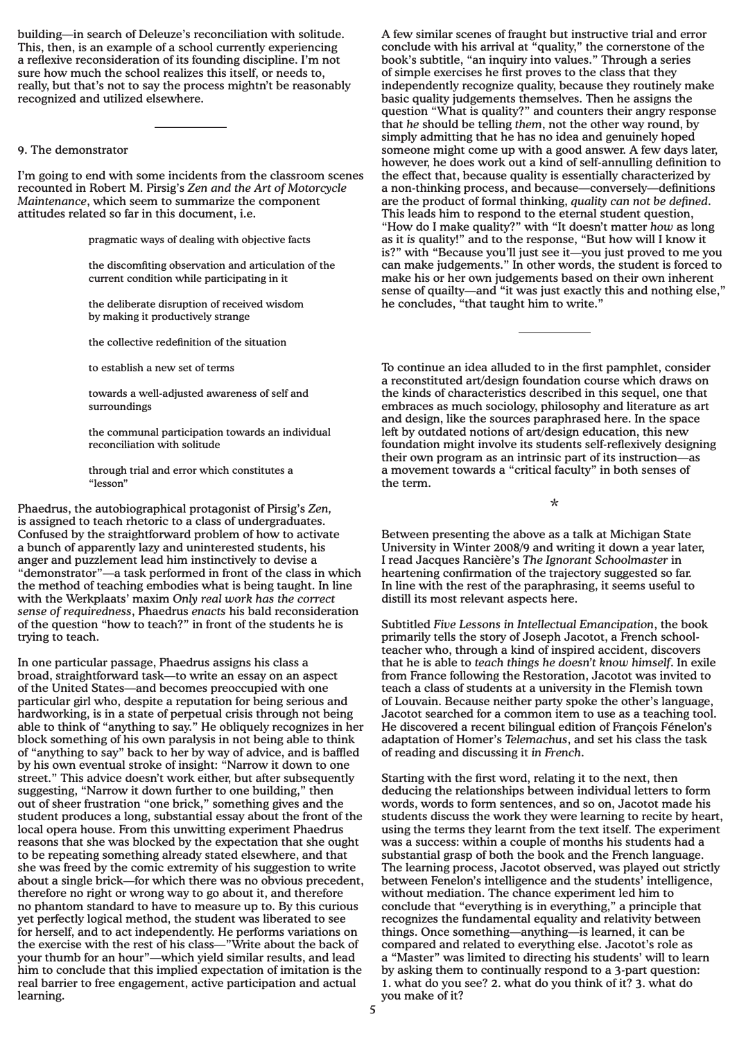building—in search of Deleuze's reconciliation with solitude. This, then, is an example of a school currently experiencing a reflexive reconsideration of its founding discipline. I'm not sure how much the school realizes this itself, or needs to, really, but that's not to say the process mightn't be reasonably recognized and utilized elsewhere.

### 9. The demonstrator

I'm going to end with some incidents from the classroom scenes recounted in Robert M. Pirsig's *Zen and the Art of Motorcycle Maintenance*, which seem to summarize the component attitudes related so far in this document, i.e.

pragmatic ways of dealing with objective facts

the discomfiting observation and articulation of the current condition while participating in it

the deliberate disruption of received wisdom by making it productively strange

the collective redefinition of the situation

to establish a new set of terms

towards a well-adjusted awareness of self and surroundings

the communal participation towards an individual reconciliation with solitude

through trial and error which constitutes a "lesson"

Phaedrus, the autobiographical protagonist of Pirsig's *Zen,*  is assigned to teach rhetoric to a class of undergraduates. Confused by the straightforward problem of how to activate a bunch of apparently lazy and uninterested students, his anger and puzzlement lead him instinctively to devise a "demonstrator"—a task performed in front of the class in which the method of teaching embodies what is being taught. In line with the Werkplaats' maxim *Only real work has the correct sense of requiredness*, Phaedrus *enacts* his bald reconsideration of the question "how to teach?" in front of the students he is trying to teach.

In one particular passage, Phaedrus assigns his class a broad, straightforward task—to write an essay on an aspect of the United States—and becomes preoccupied with one particular girl who, despite a reputation for being serious and hardworking, is in a state of perpetual crisis through not being able to think of "anything to say." He obliquely recognizes in her block something of his own paralysis in not being able to think of "anything to say" back to her by way of advice, and is baffled by his own eventual stroke of insight: "Narrow it down to one street." This advice doesn't work either, but after subsequently suggesting, "Narrow it down further to one building," then out of sheer frustration "one brick," something gives and the student produces a long, substantial essay about the front of the local opera house. From this unwitting experiment Phaedrus reasons that she was blocked by the expectation that she ought to be repeating something already stated elsewhere, and that she was freed by the comic extremity of his suggestion to write about a single brick—for which there was no obvious precedent, therefore no right or wrong way to go about it, and therefore no phantom standard to have to measure up to. By this curious yet perfectly logical method, the student was liberated to see for herself, and to act independently. He performs variations on the exercise with the rest of his class—"Write about the back of your thumb for an hour"—which yield similar results, and lead him to conclude that this implied expectation of imitation is the real barrier to free engagement, active participation and actual learning.

A few similar scenes of fraught but instructive trial and error conclude with his arrival at "quality," the cornerstone of the book's subtitle, "an inquiry into values." Through a series of simple exercises he first proves to the class that they independently recognize quality, because they routinely make basic quality judgements themselves. Then he assigns the question "What is quality?" and counters their angry response that *he* should be telling *them*, not the other way round, by simply admitting that he has no idea and genuinely hoped someone might come up with a good answer. A few days later, however, he does work out a kind of self-annulling definition to the effect that, because quality is essentially characterized by a non-thinking process, and because—conversely—definitions are the product of formal thinking, *quality can not be defined*. This leads him to respond to the eternal student question, "How do I make quality?" with "It doesn't matter *how* as long as it *is* quality!" and to the response, "But how will I know it is?" with "Because you'll just see it—you just proved to me you can make judgements." In other words, the student is forced to make his or her own judgements based on their own inherent sense of quailty—and "it was just exactly this and nothing else," he concludes, "that taught him to write."

To continue an idea alluded to in the first pamphlet, consider a reconstituted art/design foundation course which draws on the kinds of characteristics described in this sequel, one that embraces as much sociology, philosophy and literature as art and design, like the sources paraphrased here. In the space left by outdated notions of art/design education, this new foundation might involve its students self-reflexively designing their own program as an intrinsic part of its instruction—as a movement towards a "critical faculty" in both senses of the term.

\*

Between presenting the above as a talk at Michigan State University in Winter 2008/9 and writing it down a year later, I read Jacques Rancière's *The Ignorant Schoolmaster* in heartening confirmation of the trajectory suggested so far. In line with the rest of the paraphrasing, it seems useful to distill its most relevant aspects here.

Subtitled *Five Lessons in Intellectual Emancipation*, the book primarily tells the story of Joseph Jacotot, a French schoolteacher who, through a kind of inspired accident, discovers that he is able to *teach things he doesn't know himself*. In exile from France following the Restoration, Jacotot was invited to teach a class of students at a university in the Flemish town of Louvain. Because neither party spoke the other's language, Jacotot searched for a common item to use as a teaching tool. He discovered a recent bilingual edition of François Fénelon's adaptation of Homer's *Telemachus*, and set his class the task of reading and discussing it *in French*.

Starting with the first word, relating it to the next, then deducing the relationships between individual letters to form words, words to form sentences, and so on, Jacotot made his students discuss the work they were learning to recite by heart, using the terms they learnt from the text itself. The experiment was a success: within a couple of months his students had a substantial grasp of both the book and the French language. The learning process, Jacotot observed, was played out strictly between Fenelon's intelligence and the students' intelligence, without mediation. The chance experiment led him to conclude that "everything is in everything," a principle that recognizes the fundamental equality and relativity between things. Once something—anything—is learned, it can be compared and related to everything else. Jacotot's role as a "Master" was limited to directing his students' will to learn by asking them to continually respond to a 3-part question: 1. what do you see? 2. what do you think of it? 3. what do you make of it?